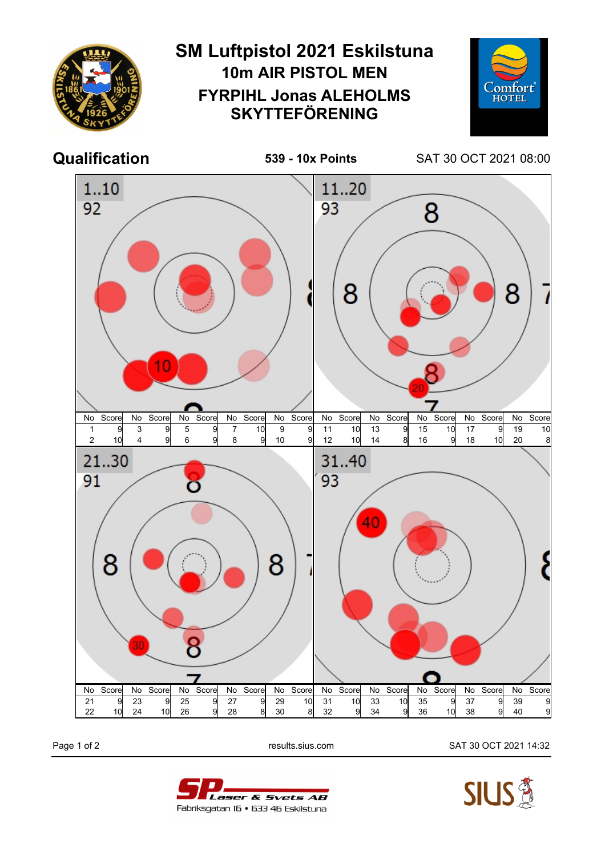

Page 1 of 2 results.sius.com SAT 30 OCT 2021 14:32